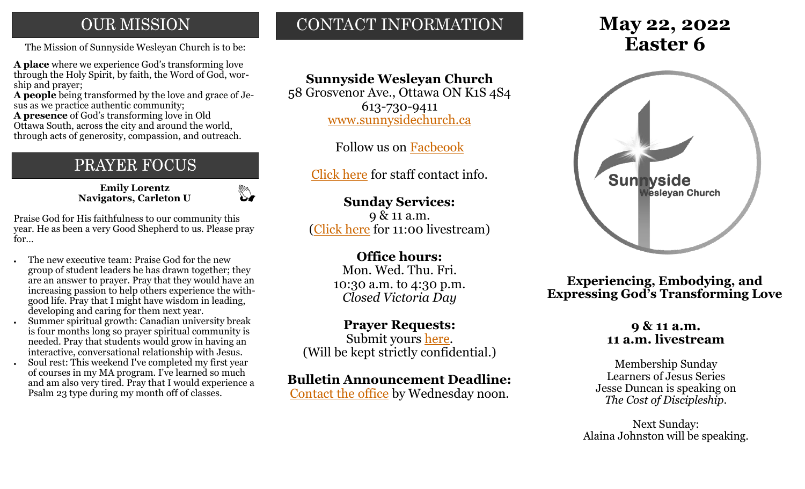### **OUR MISSION**

The Mission of Sunnyside Wesleyan Church is to be: **Easter 6** 

**A place** where we experience God's transforming love through the Holy Spirit, by faith, the Word of God, worship and prayer;

**A people** being transformed by the love and grace of Jesus as we practice authentic community;

**A presence** of God's transforming love in Old Ottawa South, across the city and around the world, through acts of generosity, compassion, and outreach.

# PRAYER FOCUS

**Emily Lorentz Navigators, Carleton U**

 $\mathbb{Z}$ 

Praise God for His faithfulness to our community this year. He as been a very Good Shepherd to us. Please pray for…

- The new executive team: Praise God for the new group of student leaders he has drawn together; they are an answer to prayer. Pray that they would have an increasing passion to help others experience the withgood life. Pray that I might have wisdom in leading, developing and caring for them next year.
- Summer spiritual growth: Canadian university break is four months long so prayer spiritual community is needed. Pray that students would grow in having an interactive, conversational relationship with Jesus.
- Soul rest: This weekend I've completed my first year of courses in my MA program. I've learned so much and am also very tired. Pray that I would experience a Psalm 23 type during my month off of classes.

### CONTACT INFORMATION

### **Sunnyside Wesleyan Church**

58 Grosvenor Ave., Ottawa ON K1S 4S4 613-730-9411 [www.sunnysidechurch.ca](http://www.sunnysidechurch.ca)

Follow us on [Facbeook](http://www.facebook.com/sunnysidewesleyanchurch)

[Click here](http://www.sunnysidechurch.ca/about-sunnyside/staff/) for staff contact info.

### **Sunday Services:**

9 & 11 a.m. [\(Click here](https://youtube.com/channel/UCYfl9Qy37Az7fqqFQpDEwjg) for 11:00 livestream)

### **Office hours:**

Mon. Wed. Thu. Fri. 10:30 a.m. to 4:30 p.m. *Closed Victoria Day*

### **Prayer Requests:**

Submit yours [here.](mailto:prayer@sunnysidechurch.ca) (Will be kept strictly confidential.)

### **Bulletin Announcement Deadline:**

[Contact the office](mailto:office@sunnysidechurch.ca) by Wednesday noon.

# **May 22, 2022**



**Experiencing, Embodying, and Expressing God's Transforming Love**

### **9 & 11 a.m. 11 a.m. livestream**

Membership Sunday Learners of Jesus Series Jesse Duncan is speaking on *The Cost of Discipleship.*

Next Sunday: Alaina Johnston will be speaking.